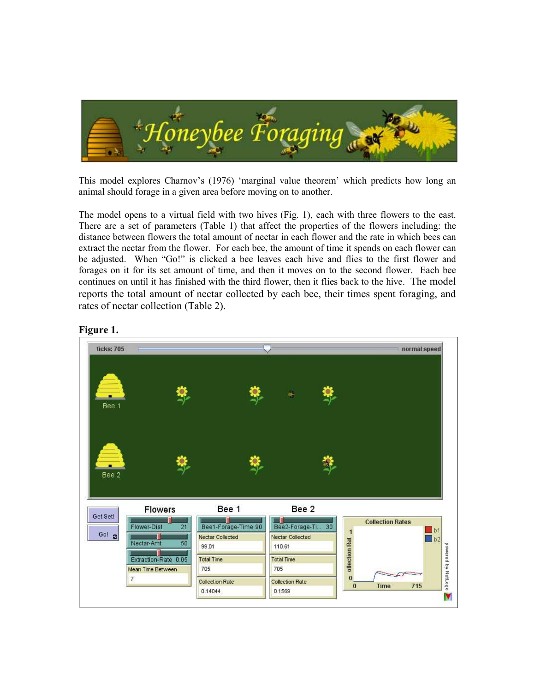

This model explores Charnov's (1976) 'marginal value theorem' which predicts how long an animal should forage in a given area before moving on to another.

The model opens to a virtual field with two hives (Fig. 1), each with three flowers to the east. There are a set of parameters (Table 1) that affect the properties of the flowers including: the distance between flowers the total amount of nectar in each flower and the rate in which bees can extract the nectar from the flower. For each bee, the amount of time it spends on each flower can be adjusted. When "Go!" is clicked a bee leaves each hive and flies to the first flower and forages on it for its set amount of time, and then it moves on to the second flower. Each bee continues on until it has finished with the third flower, then it flies back to the hive. The model reports the total amount of nectar collected by each bee, their times spent foraging, and rates of nectar collection (Table 2).